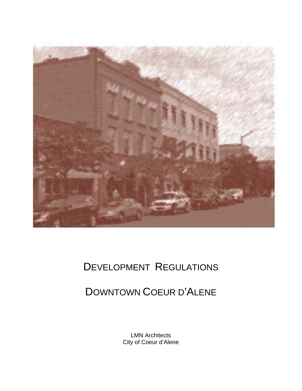

# DEVELOPMENT REGULATIONS

# DOWNTOWN COEUR D'ALENE

LMN Architects City of Coeur d'Alene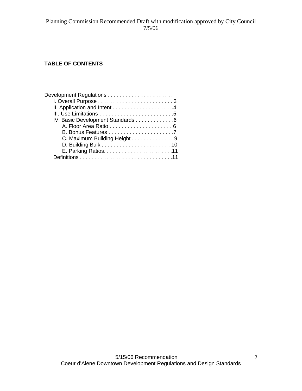# **TABLE OF CONTENTS**

| IV. Basic Development Standards 6 |
|-----------------------------------|
|                                   |
|                                   |
| C. Maximum Building Height 9      |
|                                   |
|                                   |
|                                   |
|                                   |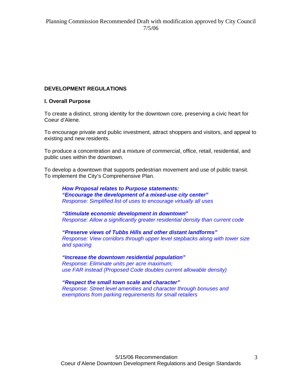#### **DEVELOPMENT REGULATIONS**

#### **I. Overall Purpose**

To create a distinct, strong identity for the downtown core, preserving a civic heart for Coeur d'Alene.

To encourage private and public investment, attract shoppers and visitors, and appeal to existing and new residents.

To produce a concentration and a mixture of commercial, office, retail, residential, and public uses within the downtown.

To develop a downtown that supports pedestrian movement and use of public transit. To implement the City's Comprehensive Plan.

*How Proposal relates to Purpose statements: "Encourage the development of a mixed-use city center" Response: Simplified list of uses to encourage virtually all uses* 

*"Stimulate economic development in downtown***"** *Response: Allow a significantly greater residential density than current code* 

*"Preserve views of Tubbs Hills and other distant landforms" Response: View corridors through upper level stepbacks along with tower size and spacing* 

*"Increase the downtown residential population" Response: Eliminate units per acre maximum; use FAR instead (Proposed Code doubles current allowable density)* 

*"Respect the small town scale and character" Response: Street level amenities and character through bonuses and exemptions from parking requirements for small retailers*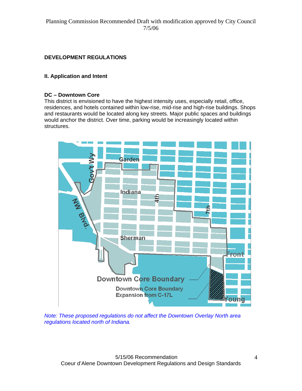# **DEVELOPMENT REGULATIONS**

#### **II. Application and Intent**

#### **DC – Downtown Core**

This district is envisioned to have the highest intensity uses, especially retail, office, residences, and hotels contained within low-rise, mid-rise and high-rise buildings. Shops and restaurants would be located along key streets. Major public spaces and buildings would anchor the district. Over time, parking would be increasingly located within structures.



*Note: These proposed regulations do not affect the Downtown Overlay North area regulations located north of Indiana.*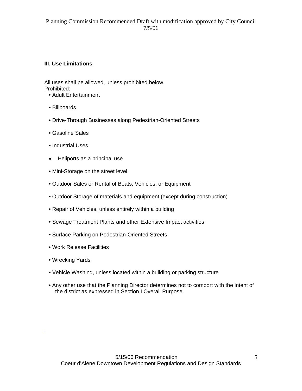#### **III. Use Limitations**

All uses shall be allowed, unless prohibited below. Prohibited:

- Adult Entertainment
- Billboards
- Drive-Through Businesses along Pedestrian-Oriented Streets
- Gasoline Sales
- Industrial Uses
- Heliports as a principal use
- Mini-Storage on the street level.
- Outdoor Sales or Rental of Boats, Vehicles, or Equipment
- Outdoor Storage of materials and equipment (except during construction)
- Repair of Vehicles, unless entirely within a building
- Sewage Treatment Plants and other Extensive Impact activities.
- Surface Parking on Pedestrian-Oriented Streets
- Work Release Facilities
- Wrecking Yards

*.* 

- Vehicle Washing, unless located within a building or parking structure
- Any other use that the Planning Director determines not to comport with the intent of the district as expressed in Section I Overall Purpose.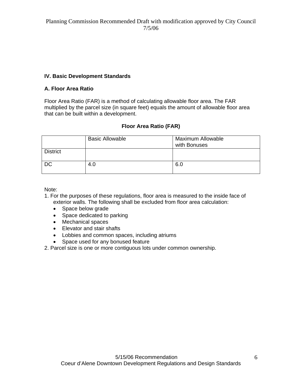### **IV. Basic Development Standards**

#### **A. Floor Area Ratio**

Floor Area Ratio (FAR) is a method of calculating allowable floor area. The FAR multiplied by the parcel size (in square feet) equals the amount of allowable floor area that can be built within a development.

#### **Floor Area Ratio (FAR)**

|                 | <b>Basic Allowable</b> | <b>Maximum Allowable</b><br>with Bonuses |
|-----------------|------------------------|------------------------------------------|
| <b>District</b> |                        |                                          |
| <b>DC</b>       | 4.0                    | 6.0                                      |

Note:

- 1. For the purposes of these regulations, floor area is measured to the inside face of exterior walls. The following shall be excluded from floor area calculation:
	- Space below grade
	- Space dedicated to parking
	- Mechanical spaces
	- Elevator and stair shafts
	- Lobbies and common spaces, including atriums
	- Space used for any bonused feature
- 2. Parcel size is one or more contiguous lots under common ownership.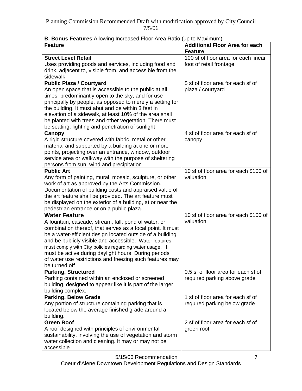| <b>B. Bonus Features</b> Allowing Increased Floor Area Ratio (up to Maximum) |                                                         |
|------------------------------------------------------------------------------|---------------------------------------------------------|
| <b>Feature</b>                                                               | <b>Additional Floor Area for each</b><br><b>Feature</b> |
| <b>Street Level Retail</b>                                                   | 100 sf of floor area for each linear                    |
| Uses providing goods and services, including food and                        | foot of retail frontage                                 |
| drink, adjacent to, visible from, and accessible from the                    |                                                         |
| sidewalk                                                                     |                                                         |
|                                                                              | 5 sf of floor area for each sf of                       |
| <b>Public Plaza / Courtyard</b>                                              |                                                         |
| An open space that is accessible to the public at all                        | plaza / courtyard                                       |
| times, predominantly open to the sky, and for use                            |                                                         |
| principally by people, as opposed to merely a setting for                    |                                                         |
| the building. It must abut and be within 3 feet in                           |                                                         |
| elevation of a sidewalk, at least 10% of the area shall                      |                                                         |
| be planted with trees and other vegetation. There must                       |                                                         |
| be seating, lighting and penetration of sunlight                             |                                                         |
| Canopy                                                                       | 4 sf of floor area for each sf of                       |
| A rigid structure covered with fabric, metal or other                        | canopy                                                  |
| material and supported by a building at one or more                          |                                                         |
| points, projecting over an entrance, window, outdoor                         |                                                         |
| service area or walkway with the purpose of sheltering                       |                                                         |
| persons from sun, wind and precipitation                                     |                                                         |
| <b>Public Art</b>                                                            | 10 sf of floor area for each \$100 of                   |
| Any form of painting, mural, mosaic, sculpture, or other                     | valuation                                               |
|                                                                              |                                                         |
| work of art as approved by the Arts Commission.                              |                                                         |
| Documentation of building costs and appraised value of                       |                                                         |
| the art feature shall be provided. The art feature must                      |                                                         |
| be displayed on the exterior of a building, at or near the                   |                                                         |
| pedestrian entrance or on a public plaza.                                    |                                                         |
| <b>Water Feature</b>                                                         | 10 sf of floor area for each \$100 of                   |
| A fountain, cascade, stream, fall, pond of water, or                         | valuation                                               |
| combination thereof, that serves as a focal point. It must                   |                                                         |
| be a water-efficient design located outside of a building                    |                                                         |
| and be publicly visible and accessible. Water features                       |                                                         |
| must comply with City policies regarding water usage. It                     |                                                         |
| must be active during daylight hours. During periods                         |                                                         |
| of water use restrictions and freezing such features may                     |                                                         |
| be turned off                                                                |                                                         |
| <b>Parking, Structured</b>                                                   | 0.5 sf of floor area for each sf of                     |
| Parking contained within an enclosed or screened                             | required parking above grade                            |
| building, designed to appear like it is part of the larger                   |                                                         |
| building complex.                                                            |                                                         |
| <b>Parking, Below Grade</b>                                                  | 1 sf of floor area for each sf of                       |
|                                                                              |                                                         |
| Any portion of structure containing parking that is                          | required parking below grade                            |
| located below the average finished grade around a                            |                                                         |
| building.                                                                    |                                                         |
| <b>Green Roof</b>                                                            | 2 sf of floor area for each sf of                       |
| A roof designed with principles of environmental                             | green roof                                              |
| sustainability, involving the use of vegetation and storm                    |                                                         |
| water collection and cleaning. It may or may not be                          |                                                         |
| accessible                                                                   |                                                         |

# **B. Bonus Features** Allowing Increased Floor Area Ratio (up to Maximum)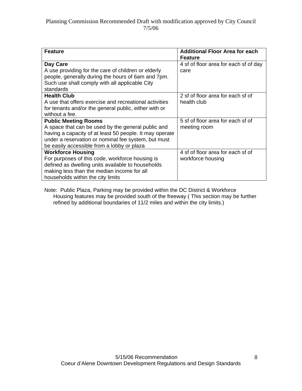| <b>Feature</b>                                          | <b>Additional Floor Area for each</b> |  |  |
|---------------------------------------------------------|---------------------------------------|--|--|
|                                                         | <b>Feature</b>                        |  |  |
| Day Care                                                | 4 sf of floor area for each sf of day |  |  |
| A use providing for the care of children or elderly     | care                                  |  |  |
| people, generally during the hours of 6am and 7pm.      |                                       |  |  |
| Such use shall comply with all applicable City          |                                       |  |  |
| standards                                               |                                       |  |  |
| <b>Health Club</b>                                      | 2 sf of floor area for each sf of     |  |  |
| A use that offers exercise and recreational activities  | health club                           |  |  |
| for tenants and/or the general public, either with or   |                                       |  |  |
| without a fee.                                          |                                       |  |  |
| <b>Public Meeting Rooms</b>                             | 5 sf of floor area for each sf of     |  |  |
| A space that can be used by the general public and      | meeting room                          |  |  |
| having a capacity of at least 50 people. It may operate |                                       |  |  |
| under a reservation or nominal fee system, but must     |                                       |  |  |
| be easily accessible from a lobby or plaza              |                                       |  |  |
| <b>Workforce Housing</b>                                | 4 sf of floor area for each sf of     |  |  |
| For purposes of this code, workforce housing is         | workforce housing                     |  |  |
| defined as dwelling units available to households       |                                       |  |  |
| making less than the median income for all              |                                       |  |  |
| households within the city limits                       |                                       |  |  |

Note: Public Plaza, Parking may be provided within the DC District & Workforce Housing features may be provided south of the freeway ( This section may be further refined by additional boundaries of 11/2 miles and within the city limits.)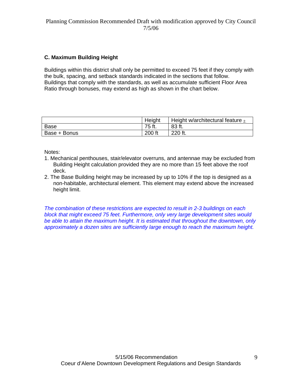# **C. Maximum Building Height**

Buildings within this district shall only be permitted to exceed 75 feet if they comply with the bulk, spacing, and setback standards indicated in the sections that follow. Buildings that comply with the standards, as well as accumulate sufficient Floor Area Ratio through bonuses, may extend as high as shown in the chart below.

|              | Height | Height w/architectural feature $\frac{1}{2}$ |
|--------------|--------|----------------------------------------------|
| Base         | 75 ft. | 83 ft.                                       |
| Base + Bonus | 200 ft | 220 ft.                                      |

Notes:

- 1. Mechanical penthouses, stair/elevator overruns, and antennae may be excluded from Building Height calculation provided they are no more than 15 feet above the roof deck.
- 2. The Base Building height may be increased by up to 10% if the top is designed as a non-habitable, architectural element. This element may extend above the increased height limit.

*The combination of these restrictions are expected to result in 2-3 buildings on each block that might exceed 75 feet. Furthermore, only very large development sites would be able to attain the maximum height. It is estimated that throughout the downtown, only approximately a dozen sites are sufficiently large enough to reach the maximum height.*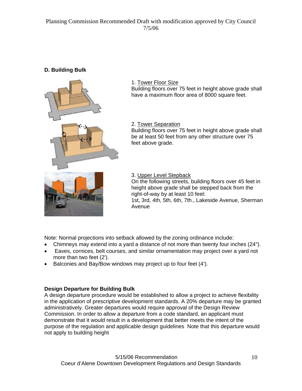# **D. Building Bulk**



1. Tower Floor Size Building floors over 75 feet in height above grade shall have a maximum floor area of 8000 square feet.

2. Tower Separation

Building floors over 75 feet in height above grade shall be at least 50 feet from any other structure over 75 feet above grade.

3. Upper Level Stepback

On the following streets, building floors over 45 feet in height above grade shall be stepped back from the right-of-way by at least 10 feet: 1st, 3rd, 4th, 5th, 6th, 7th., Lakeside Avenue, Sherman Avenue

Note: Normal projections into setback allowed by the zoning ordinance include:

- Chimneys may extend into a yard a distance of not more than twenty four inches (24").
- Eaves, cornices, belt courses, and similar ornamentation may project over a yard not more than two feet (2').
- Balconies and Bay/Bow windows may project up to four feet (4').

#### **Design Departure for Building Bulk**

A design departure procedure would be established to allow a project to achieve flexibility in the application of prescriptive development standards. A 20% departure may be granted administratively. Greater departures would require approval of the Design Review Commission. In order to allow a departure from a code standard, an applicant must demonstrate that it would result in a development that better meets the intent of the purpose of the regulation and applicable design guidelines Note that this departure would not apply to building height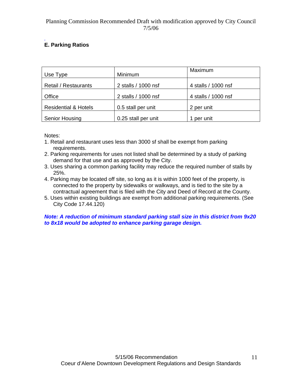#### *.* **E. Parking Ratios**

| Use Type                        | Minimum             | Maximum             |
|---------------------------------|---------------------|---------------------|
| <b>Retail / Restaurants</b>     | 2 stalls / 1000 nsf | 4 stalls / 1000 nsf |
| Office                          | 2 stalls / 1000 nsf | 4 stalls / 1000 nsf |
| <b>Residential &amp; Hotels</b> | 0.5 stall per unit  | 2 per unit          |
| <b>Senior Housing</b>           | 0.25 stall per unit | 1 per unit          |

Notes:

- 1. Retail and restaurant uses less than 3000 sf shall be exempt from parking requirements.
- 2. Parking requirements for uses not listed shall be determined by a study of parking demand for that use and as approved by the City.
- 3. Uses sharing a common parking facility may reduce the required number of stalls by 25%.
- 4. Parking may be located off site, so long as it is within 1000 feet of the property, is connected to the property by sidewalks or walkways, and is tied to the site by a contractual agreement that is filed with the City and Deed of Record at the County.
- 5. Uses within existing buildings are exempt from additional parking requirements. (See City Code 17.44.120)

#### *Note: A reduction of minimum standard parking stall size in this district from 9x20 to 8x18 would be adopted to enhance parking garage design.*